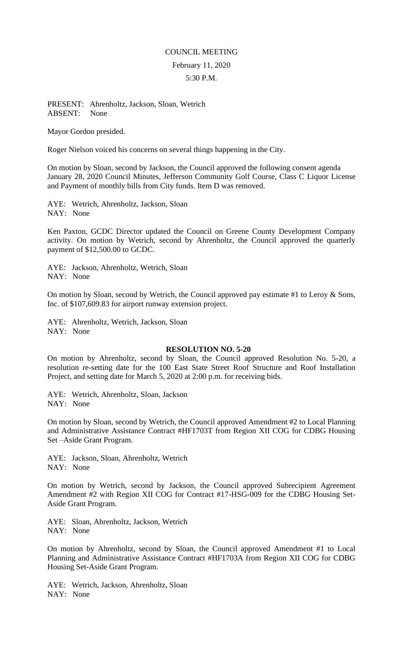## COUNCIL MEETING February 11, 2020 5:30 P.M.

## PRESENT: Ahrenholtz, Jackson, Sloan, Wetrich ABSENT: None

Mayor Gordon presided.

Roger Nielson voiced his concerns on several things happening in the City.

On motion by Sloan, second by Jackson, the Council approved the following consent agenda January 28, 2020 Council Minutes, Jefferson Community Golf Course, Class C Liquor License and Payment of monthly bills from City funds. Item D was removed.

AYE: Wetrich, Ahrenholtz, Jackson, Sloan NAY: None

Ken Paxton, GCDC Director updated the Council on Greene County Development Company activity. On motion by Wetrich, second by Ahrenholtz, the Council approved the quarterly payment of \$12,500.00 to GCDC.

AYE: Jackson, Ahrenholtz, Wetrich, Sloan NAY: None

On motion by Sloan, second by Wetrich, the Council approved pay estimate #1 to Leroy & Sons, Inc. of \$107,609.83 for airport runway extension project.

AYE: Ahrenholtz, Wetrich, Jackson, Sloan NAY: None

## **RESOLUTION NO. 5-20**

On motion by Ahrenholtz, second by Sloan, the Council approved Resolution No. 5-20, a resolution re-setting date for the 100 East State Street Roof Structure and Roof Installation Project, and setting date for March 5, 2020 at 2:00 p.m. for receiving bids.

AYE: Wetrich, Ahrenholtz, Sloan, Jackson NAY: None

On motion by Sloan, second by Wetrich, the Council approved Amendment #2 to Local Planning and Administrative Assistance Contract #HF1703T from Region XII COG for CDBG Housing Set –Aside Grant Program.

AYE: Jackson, Sloan, Ahrenholtz, Wetrich NAY: None

On motion by Wetrich, second by Jackson, the Council approved Subrecipient Agreement Amendment #2 with Region XII COG for Contract #17-HSG-009 for the CDBG Housing Set-Aside Grant Program.

AYE: Sloan, Ahrenholtz, Jackson, Wetrich NAY: None

On motion by Ahrenholtz, second by Sloan, the Council approved Amendment #1 to Local Planning and Administrative Assistance Contract #HF1703A from Region XII COG for CDBG Housing Set-Aside Grant Program.

AYE: Wetrich, Jackson, Ahrenholtz, Sloan NAY: None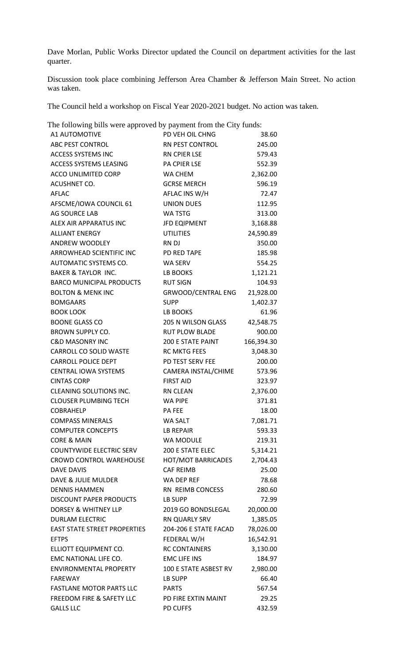Dave Morlan, Public Works Director updated the Council on department activities for the last quarter.

Discussion took place combining Jefferson Area Chamber & Jefferson Main Street. No action was taken.

The Council held a workshop on Fiscal Year 2020-2021 budget. No action was taken.

The following bills were approved by payment from the City funds: A1 AUTOMOTIVE PD VEH OIL CHNG 38.60 ABC PEST CONTROL RN PEST CONTROL 245.00 ACCESS SYSTEMS INC RN CPIER LSE 579.43 ACCESS SYSTEMS LEASING PA CPIER LSE 552.39 ACCO UNLIMITED CORP WA CHEM 2,362.00 ACUSHNET CO. GCRSE MERCH 596.19 AFLAC AFLAC INS W/H 72.47 AFSCME/IOWA COUNCIL 61 UNION DUES 112.95 AG SOURCE LAB WA TSTG 313.00 ALEX AIR APPARATUS INC **JFD EQIPMENT** 3,168.88 ALLIANT ENERGY UTILITIES 24,590.89 ANDREW WOODLEY RN DJ 350.00 ARROWHEAD SCIENTIFIC INC PD RED TAPE 185.98 AUTOMATIC SYSTEMS CO. WA SERV 554.25 BAKER & TAYLOR INC. LB BOOKS 1,121.21 BARCO MUNICIPAL PRODUCTS RUT SIGN 104.93 BOLTON & MENK INC GRWOOD/CENTRAL ENG 21,928.00 BOMGAARS SUPP 3,402.37 BOOK LOOK LEE BOOKS 61.96 BOONE GLASS CO 205 N WILSON GLASS 42,548.75 BROWN SUPPLY CO. The RUT PLOW BLADE 600.00 C&D MASONRY INC 200 E STATE PAINT 166,394.30 CARROLL CO SOLID WASTE RC MKTG FEES 3,048.30 CARROLL POLICE DEPT PD TEST SERV FEE 200.00 CENTRAL IOWA SYSTEMS CAMERA INSTAL/CHIME 573.96 CINTAS CORP FIRST AID 323.97 CLEANING SOLUTIONS INC. RN CLEAN 2,376.00 CLOUSER PLUMBING TECH WA PIPE 371.81 COBRAHELP PA FEE 18.00 COMPASS MINERALS WA SALT 7,081.71 COMPUTER CONCEPTS LB REPAIR 593.33 CORE & MAIN WA MODULE 219.31 COUNTYWIDE ELECTRIC SERV 200 E STATE ELEC 5,314.21 CROWD CONTROL WAREHOUSE HOT/MOT BARRICADES 2,704.43 DAVE DAVIS CAF REIMB 25.00 DAVE & JULIE MULDER WA DEP REF 78.68 DENNIS HAMMEN RN REIMB CONCESS 280.60 DISCOUNT PAPER PRODUCTS LB SUPP 72.99 DORSEY & WHITNEY LLP 2019 GO BONDSLEGAL 20,000.00 DURLAM ELECTRIC RN QUARLY SRV 1,385.05 EAST STATE STREET PROPERTIES 204-206 E STATE FACAD 78,026.00 EFTPS FEDERAL W/H 16,542.91 ELLIOTT EQUIPMENT CO. RC CONTAINERS 3,130.00 EMC NATIONAL LIFE CO. BMC LIFE INS 184.97 ENVIRONMENTAL PROPERTY 100 E STATE ASBEST RV 2,980.00 FAREWAY **LB SUPP** 66.40 FASTLANE MOTOR PARTS LLC PARTS 567.54 FREEDOM FIRE & SAFETY LLC PD FIRE EXTIN MAINT 29.25 GALLS LLC PD CUFFS 432.59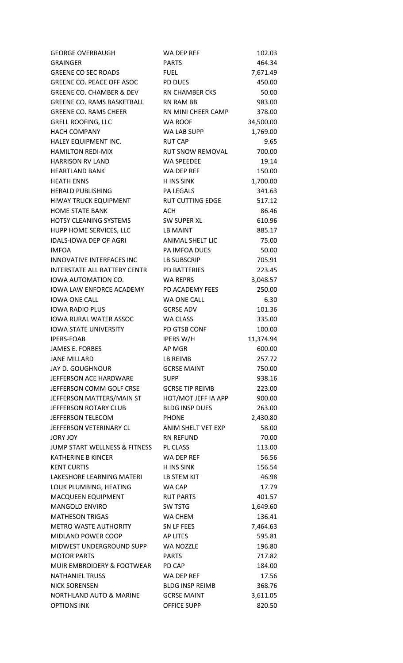| <b>GEORGE OVERBAUGH</b>          | WA DEP REF              | 102.03    |
|----------------------------------|-------------------------|-----------|
| <b>GRAINGER</b>                  | <b>PARTS</b>            | 464.34    |
| <b>GREENE CO SEC ROADS</b>       | <b>FUEL</b>             | 7,671.49  |
| <b>GREENE CO. PEACE OFF ASOC</b> | <b>PD DUES</b>          | 450.00    |
| GREENE CO. CHAMBER & DEV         | RN CHAMBER CKS          | 50.00     |
| GREENE CO. RAMS BASKETBALL       | RN RAM BB               | 983.00    |
| <b>GREENE CO. RAMS CHEER</b>     | RN MINI CHEER CAMP      | 378.00    |
| <b>GRELL ROOFING, LLC</b>        | <b>WA ROOF</b>          | 34,500.00 |
| <b>HACH COMPANY</b>              | WA LAB SUPP             | 1,769.00  |
| HALEY EQUIPMENT INC.             | <b>RUT CAP</b>          | 9.65      |
| <b>HAMILTON REDI-MIX</b>         | <b>RUT SNOW REMOVAL</b> | 700.00    |
| <b>HARRISON RV LAND</b>          | <b>WA SPEEDEE</b>       | 19.14     |
| <b>HEARTLAND BANK</b>            | WA DEP REF              | 150.00    |
| <b>HEATH ENNS</b>                | <b>H INS SINK</b>       | 1,700.00  |
| <b>HERALD PUBLISHING</b>         | <b>PA LEGALS</b>        | 341.63    |
| HIWAY TRUCK EQUIPMENT            | <b>RUT CUTTING EDGE</b> | 517.12    |
| <b>HOME STATE BANK</b>           | <b>ACH</b>              | 86.46     |
| <b>HOTSY CLEANING SYSTEMS</b>    | SW SUPER XL             | 610.96    |
| HUPP HOME SERVICES, LLC          | LB MAINT                | 885.17    |
| IDALS-IOWA DEP OF AGRI           | <b>ANIMAL SHELT LIC</b> | 75.00     |
| <b>IMFOA</b>                     | PA IMFOA DUES           | 50.00     |
| <b>INNOVATIVE INTERFACES INC</b> | LB SUBSCRIP             | 705.91    |
| INTERSTATE ALL BATTERY CENTR     | PD BATTERIES            | 223.45    |
| IOWA AUTOMATION CO.              | <b>WA REPRS</b>         | 3,048.57  |
| IOWA LAW ENFORCE ACADEMY         | PD ACADEMY FEES         | 250.00    |
| <b>IOWA ONE CALL</b>             | WA ONE CALL             | 6.30      |
| <b>IOWA RADIO PLUS</b>           | <b>GCRSE ADV</b>        | 101.36    |
| <b>IOWA RURAL WATER ASSOC</b>    | <b>WA CLASS</b>         | 335.00    |
| <b>IOWA STATE UNIVERSITY</b>     | PD GTSB CONF            | 100.00    |
| <b>IPERS-FOAB</b>                | <b>IPERS W/H</b>        | 11,374.94 |
| JAMES E. FORBES                  | AP MGR                  | 600.00    |
| <b>JANE MILLARD</b>              | LB REIMB                | 257.72    |
| JAY D. GOUGHNOUR                 | <b>GCRSE MAINT</b>      | 750.00    |
| JEFFERSON ACE HARDWARE           | <b>SUPP</b>             | 938.16    |
| JEFFERSON COMM GOLF CRSE         | <b>GCRSE TIP REIMB</b>  | 223.00    |
| JEFFERSON MATTERS/MAIN ST        | HOT/MOT JEFF IA APP     | 900.00    |
| JEFFERSON ROTARY CLUB            | <b>BLDG INSP DUES</b>   | 263.00    |
| <b>JEFFERSON TELECOM</b>         | <b>PHONE</b>            | 2,430.80  |
| JEFFERSON VETERINARY CL          | ANIM SHELT VET EXP      | 58.00     |
| JORY JOY                         | <b>RN REFUND</b>        | 70.00     |
| JUMP START WELLNESS & FITNESS    | PL CLASS                | 113.00    |
| KATHERINE B KINCER               | WA DEP REF              | 56.56     |
| <b>KENT CURTIS</b>               | <b>H INS SINK</b>       | 156.54    |
| LAKESHORE LEARNING MATERI        | LB STEM KIT             | 46.98     |
| LOUK PLUMBING, HEATING           | WA CAP                  | 17.79     |
| MACQUEEN EQUIPMENT               | <b>RUT PARTS</b>        | 401.57    |
| <b>MANGOLD ENVIRO</b>            | <b>SW TSTG</b>          | 1,649.60  |
| <b>MATHESON TRIGAS</b>           | WA CHEM                 | 136.41    |
| METRO WASTE AUTHORITY            | SN LF FEES              | 7,464.63  |
| <b>MIDLAND POWER COOP</b>        | <b>AP LITES</b>         | 595.81    |
| MIDWEST UNDERGROUND SUPP         | WA NOZZLE               | 196.80    |
| <b>MOTOR PARTS</b>               | <b>PARTS</b>            | 717.82    |
| MUIR EMBROIDERY & FOOTWEAR       | PD CAP                  | 184.00    |
| <b>NATHANIEL TRUSS</b>           | WA DEP REF              | 17.56     |
| <b>NICK SORENSEN</b>             | <b>BLDG INSP REIMB</b>  | 368.76    |
| NORTHLAND AUTO & MARINE          | <b>GCRSE MAINT</b>      | 3,611.05  |
| <b>OPTIONS INK</b>               | <b>OFFICE SUPP</b>      | 820.50    |